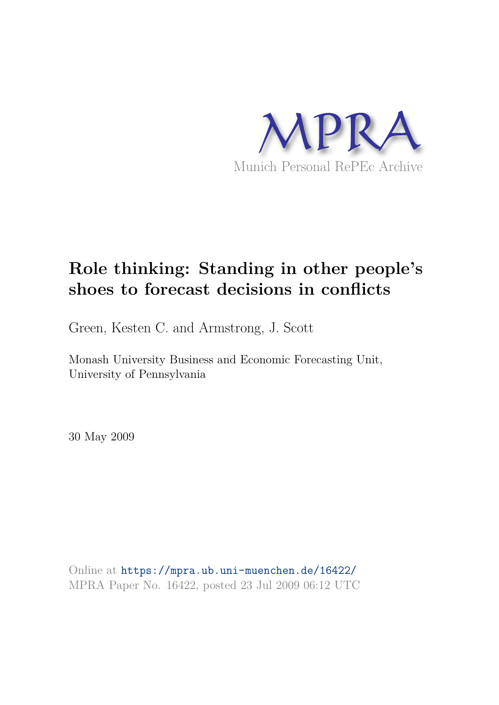

# **Role thinking: Standing in other people's shoes to forecast decisions in conflicts**

Green, Kesten C. and Armstrong, J. Scott

Monash University Business and Economic Forecasting Unit, University of Pennsylvania

30 May 2009

Online at https://mpra.ub.uni-muenchen.de/16422/ MPRA Paper No. 16422, posted 23 Jul 2009 06:12 UTC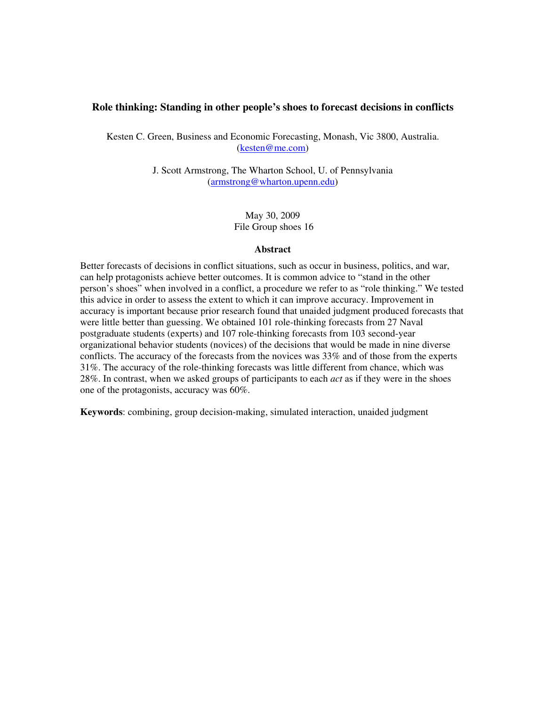## **Role thinking: Standing in other people's shoes to forecast decisions in conflicts**

Kesten C. Green, Business and Economic Forecasting, Monash, Vic 3800, Australia. (kesten@me.com)

> J. Scott Armstrong, The Wharton School, U. of Pennsylvania (armstrong@wharton.upenn.edu)

> > May 30, 2009 File Group shoes 16

#### **Abstract**

Better forecasts of decisions in conflict situations, such as occur in business, politics, and war, can help protagonists achieve better outcomes. It is common advice to "stand in the other person's shoes" when involved in a conflict, a procedure we refer to as "role thinking." We tested this advice in order to assess the extent to which it can improve accuracy. Improvement in accuracy is important because prior research found that unaided judgment produced forecasts that were little better than guessing. We obtained 101 role-thinking forecasts from 27 Naval postgraduate students (experts) and 107 role-thinking forecasts from 103 second-year organizational behavior students (novices) of the decisions that would be made in nine diverse conflicts. The accuracy of the forecasts from the novices was 33% and of those from the experts 31%. The accuracy of the role-thinking forecasts was little different from chance, which was 28%. In contrast, when we asked groups of participants to each *act* as if they were in the shoes one of the protagonists, accuracy was 60%.

**Keywords**: combining, group decision-making, simulated interaction, unaided judgment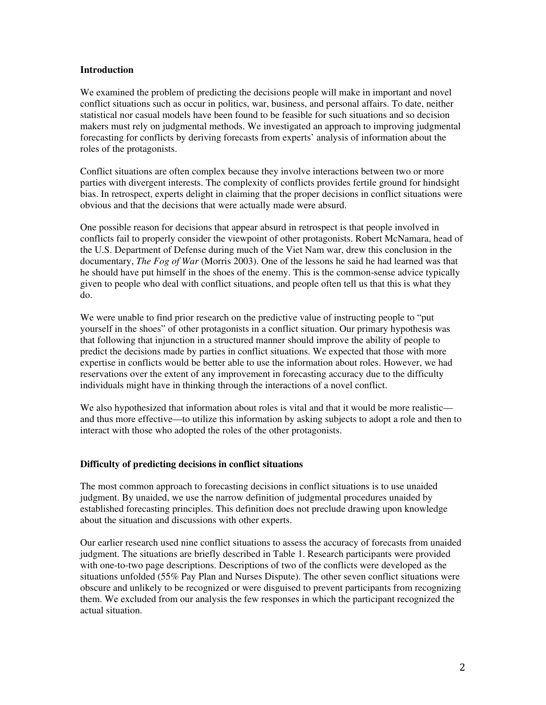### **Introduction**

We examined the problem of predicting the decisions people will make in important and novel conflict situations such as occur in politics, war, business, and personal affairs. To date, neither statistical nor casual models have been found to be feasible for such situations and so decision makers must rely on judgmental methods. We investigated an approach to improving judgmental forecasting for conflicts by deriving forecasts from experts' analysis of information about the roles of the protagonists.

Conflict situations are often complex because they involve interactions between two or more parties with divergent interests. The complexity of conflicts provides fertile ground for hindsight bias. In retrospect, experts delight in claiming that the proper decisions in conflict situations were obvious and that the decisions that were actually made were absurd.

One possible reason for decisions that appear absurd in retrospect is that people involved in conflicts fail to properly consider the viewpoint of other protagonists. Robert McNamara, head of the U.S. Department of Defense during much of the Viet Nam war, drew this conclusion in the documentary, *The Fog of War* (Morris 2003). One of the lessons he said he had learned was that he should have put himself in the shoes of the enemy. This is the common-sense advice typically given to people who deal with conflict situations, and people often tell us that this is what they do.

We were unable to find prior research on the predictive value of instructing people to "put" yourself in the shoes" of other protagonists in a conflict situation. Our primary hypothesis was that following that injunction in a structured manner should improve the ability of people to predict the decisions made by parties in conflict situations. We expected that those with more expertise in conflicts would be better able to use the information about roles. However, we had reservations over the extent of any improvement in forecasting accuracy due to the difficulty individuals might have in thinking through the interactions of a novel conflict.

We also hypothesized that information about roles is vital and that it would be more realistic and thus more effective—to utilize this information by asking subjects to adopt a role and then to interact with those who adopted the roles of the other protagonists.

# **Difficulty of predicting decisions in conflict situations**

The most common approach to forecasting decisions in conflict situations is to use unaided judgment. By unaided, we use the narrow definition of judgmental procedures unaided by established forecasting principles. This definition does not preclude drawing upon knowledge about the situation and discussions with other experts.

Our earlier research used nine conflict situations to assess the accuracy of forecasts from unaided judgment. The situations are briefly described in Table 1. Research participants were provided with one-to-two page descriptions. Descriptions of two of the conflicts were developed as the situations unfolded (55% Pay Plan and Nurses Dispute). The other seven conflict situations were obscure and unlikely to be recognized or were disguised to prevent participants from recognizing them. We excluded from our analysis the few responses in which the participant recognized the actual situation.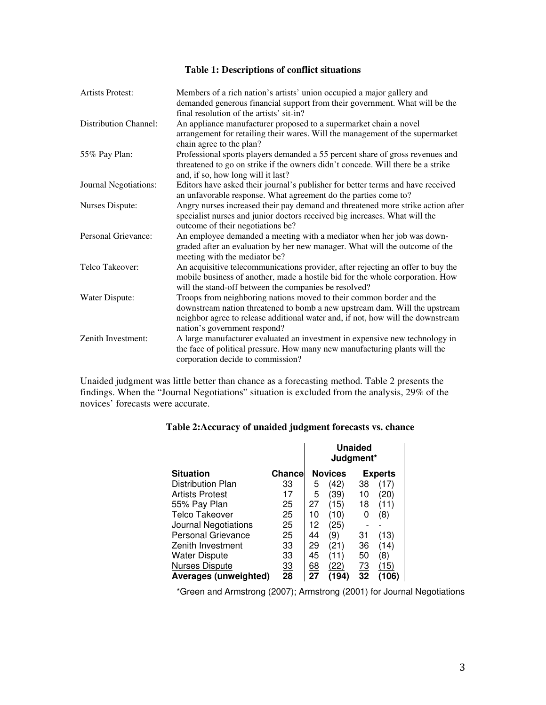# **Table 1: Descriptions of conflict situations**

| <b>Artists Protest:</b>      | Members of a rich nation's artists' union occupied a major gallery and<br>demanded generous financial support from their government. What will be the<br>final resolution of the artists' sit-in?                                                                     |
|------------------------------|-----------------------------------------------------------------------------------------------------------------------------------------------------------------------------------------------------------------------------------------------------------------------|
| <b>Distribution Channel:</b> | An appliance manufacturer proposed to a supermarket chain a novel<br>arrangement for retailing their wares. Will the management of the supermarket<br>chain agree to the plan?                                                                                        |
| 55% Pay Plan:                | Professional sports players demanded a 55 percent share of gross revenues and<br>threatened to go on strike if the owners didn't concede. Will there be a strike<br>and, if so, how long will it last?                                                                |
| Journal Negotiations:        | Editors have asked their journal's publisher for better terms and have received<br>an unfavorable response. What agreement do the parties come to?                                                                                                                    |
| Nurses Dispute:              | Angry nurses increased their pay demand and threatened more strike action after<br>specialist nurses and junior doctors received big increases. What will the<br>outcome of their negotiations be?                                                                    |
| Personal Grievance:          | An employee demanded a meeting with a mediator when her job was down-<br>graded after an evaluation by her new manager. What will the outcome of the<br>meeting with the mediator be?                                                                                 |
| Telco Takeover:              | An acquisitive telecommunications provider, after rejecting an offer to buy the<br>mobile business of another, made a hostile bid for the whole corporation. How<br>will the stand-off between the companies be resolved?                                             |
| Water Dispute:               | Troops from neighboring nations moved to their common border and the<br>downstream nation threatened to bomb a new upstream dam. Will the upstream<br>neighbor agree to release additional water and, if not, how will the downstream<br>nation's government respond? |
| Zenith Investment:           | A large manufacturer evaluated an investment in expensive new technology in<br>the face of political pressure. How many new manufacturing plants will the<br>corporation decide to commission?                                                                        |

Unaided judgment was little better than chance as a forecasting method. Table 2 presents the findings. When the "Journal Negotiations" situation is excluded from the analysis, 29% of the novices' forecasts were accurate.

|  | Table 2: Accuracy of unaided judgment forecasts vs. chance |
|--|------------------------------------------------------------|
|--|------------------------------------------------------------|

|                        |           | <b>Unaided</b><br>Judgment* |                |           |                |
|------------------------|-----------|-----------------------------|----------------|-----------|----------------|
| <b>Situation</b>       | Chance    |                             | <b>Novices</b> |           | <b>Experts</b> |
| Distribution Plan      | 33        | 5                           | (42)           | 38        | (17)           |
| <b>Artists Protest</b> | 17        | 5                           | 39)            | 10        | (20)           |
| 55% Pay Plan           | 25        | 27                          | (15)           | 18        | (11)           |
| Telco Takeover         | 25        | 10                          | (10)           | 0         | (8)            |
| Journal Negotiations   | 25        | 12                          | (25)           |           |                |
| Personal Grievance     | 25        | 44                          | (9)            | 31        | (13)           |
| Zenith Investment      | 33        | 29                          | (21)           | 36        | (14)           |
| <b>Water Dispute</b>   | 33        | 45                          | (11)           | 50        | (8)            |
| <b>Nurses Dispute</b>  | <u>33</u> | <u>68</u>                   | (22)           | <u>73</u> | (15)           |
| Averages (unweighted)  | 28        | 27                          | (194)          | 32        | (106)          |

\*Green and Armstrong (2007); Armstrong (2001) for Journal Negotiations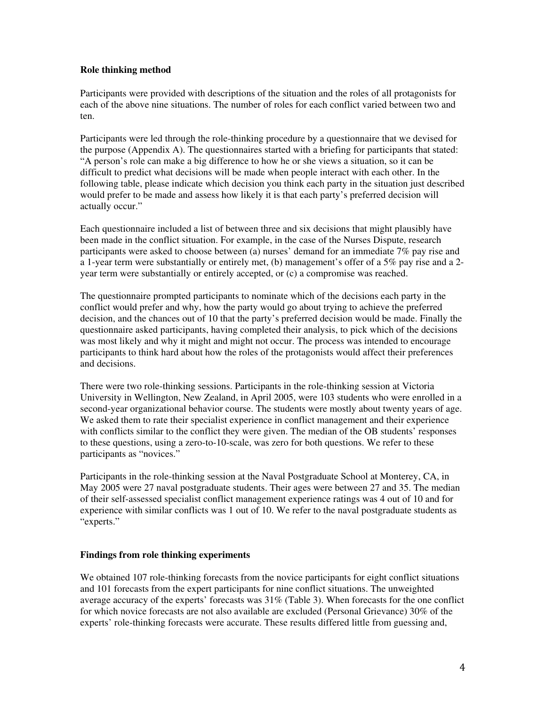## **Role thinking method**

Participants were provided with descriptions of the situation and the roles of all protagonists for each of the above nine situations. The number of roles for each conflict varied between two and ten.

Participants were led through the role-thinking procedure by a questionnaire that we devised for the purpose (Appendix A). The questionnaires started with a briefing for participants that stated: "A person's role can make a big difference to how he or she views a situation, so it can be difficult to predict what decisions will be made when people interact with each other. In the following table, please indicate which decision you think each party in the situation just described would prefer to be made and assess how likely it is that each party's preferred decision will actually occur."

Each questionnaire included a list of between three and six decisions that might plausibly have been made in the conflict situation. For example, in the case of the Nurses Dispute, research participants were asked to choose between (a) nurses' demand for an immediate 7% pay rise and a 1-year term were substantially or entirely met, (b) management's offer of a 5% pay rise and a 2 year term were substantially or entirely accepted, or (c) a compromise was reached.

The questionnaire prompted participants to nominate which of the decisions each party in the conflict would prefer and why, how the party would go about trying to achieve the preferred decision, and the chances out of 10 that the party's preferred decision would be made. Finally the questionnaire asked participants, having completed their analysis, to pick which of the decisions was most likely and why it might and might not occur. The process was intended to encourage participants to think hard about how the roles of the protagonists would affect their preferences and decisions.

There were two role-thinking sessions. Participants in the role-thinking session at Victoria University in Wellington, New Zealand, in April 2005, were 103 students who were enrolled in a second-year organizational behavior course. The students were mostly about twenty years of age. We asked them to rate their specialist experience in conflict management and their experience with conflicts similar to the conflict they were given. The median of the OB students' responses to these questions, using a zero-to-10-scale, was zero for both questions. We refer to these participants as "novices."

Participants in the role-thinking session at the Naval Postgraduate School at Monterey, CA, in May 2005 were 27 naval postgraduate students. Their ages were between 27 and 35. The median of their self-assessed specialist conflict management experience ratings was 4 out of 10 and for experience with similar conflicts was 1 out of 10. We refer to the naval postgraduate students as "experts."

# **Findings from role thinking experiments**

We obtained 107 role-thinking forecasts from the novice participants for eight conflict situations and 101 forecasts from the expert participants for nine conflict situations. The unweighted average accuracy of the experts' forecasts was 31% (Table 3). When forecasts for the one conflict for which novice forecasts are not also available are excluded (Personal Grievance) 30% of the experts' role-thinking forecasts were accurate. These results differed little from guessing and,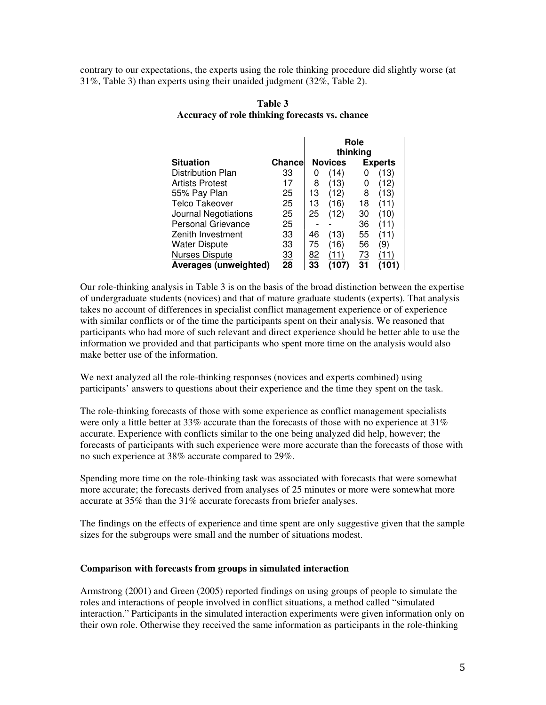contrary to our expectations, the experts using the role thinking procedure did slightly worse (at 31%, Table 3) than experts using their unaided judgment (32%, Table 2).

|                           |                |           |                | Role      |                |
|---------------------------|----------------|-----------|----------------|-----------|----------------|
|                           |                |           |                | thinking  |                |
| <b>Situation</b>          | <b>Chancel</b> |           | <b>Novices</b> |           | <b>Experts</b> |
| Distribution Plan         | 33             | O         | (14)           | 0         | (13)           |
| <b>Artists Protest</b>    | 17             | 8         | (13)           | 0         | (12)           |
| 55% Pay Plan              | 25             | 13        | (12)           | 8         | (13)           |
| <b>Telco Takeover</b>     | 25             | 13        | (16)           | 18        | (11)           |
| Journal Negotiations      | 25             | 25        | (12)           | 30        | (10)           |
| <b>Personal Grievance</b> | 25             |           |                | 36        | (11)           |
| Zenith Investment         | 33             | 46        | (13)           | 55        | (11)           |
| <b>Water Dispute</b>      | 33             | 75        | (16)           | 56        | (9)            |
| <b>Nurses Dispute</b>     | <u>33</u>      | <u>82</u> | (11)           | <u>73</u> | (11)           |
| Averages (unweighted)     | 28             | 33        | (107)          | 31        | (101)          |

# **Table 3 Accuracy of role thinking forecasts vs. chance**

Our role-thinking analysis in Table 3 is on the basis of the broad distinction between the expertise of undergraduate students (novices) and that of mature graduate students (experts). That analysis takes no account of differences in specialist conflict management experience or of experience with similar conflicts or of the time the participants spent on their analysis. We reasoned that participants who had more of such relevant and direct experience should be better able to use the information we provided and that participants who spent more time on the analysis would also make better use of the information.

We next analyzed all the role-thinking responses (novices and experts combined) using participants' answers to questions about their experience and the time they spent on the task.

The role-thinking forecasts of those with some experience as conflict management specialists were only a little better at 33% accurate than the forecasts of those with no experience at 31% accurate. Experience with conflicts similar to the one being analyzed did help, however; the forecasts of participants with such experience were more accurate than the forecasts of those with no such experience at 38% accurate compared to 29%.

Spending more time on the role-thinking task was associated with forecasts that were somewhat more accurate; the forecasts derived from analyses of 25 minutes or more were somewhat more accurate at 35% than the 31% accurate forecasts from briefer analyses.

The findings on the effects of experience and time spent are only suggestive given that the sample sizes for the subgroups were small and the number of situations modest.

## **Comparison with forecasts from groups in simulated interaction**

Armstrong (2001) and Green (2005) reported findings on using groups of people to simulate the roles and interactions of people involved in conflict situations, a method called "simulated interaction." Participants in the simulated interaction experiments were given information only on their own role. Otherwise they received the same information as participants in the role-thinking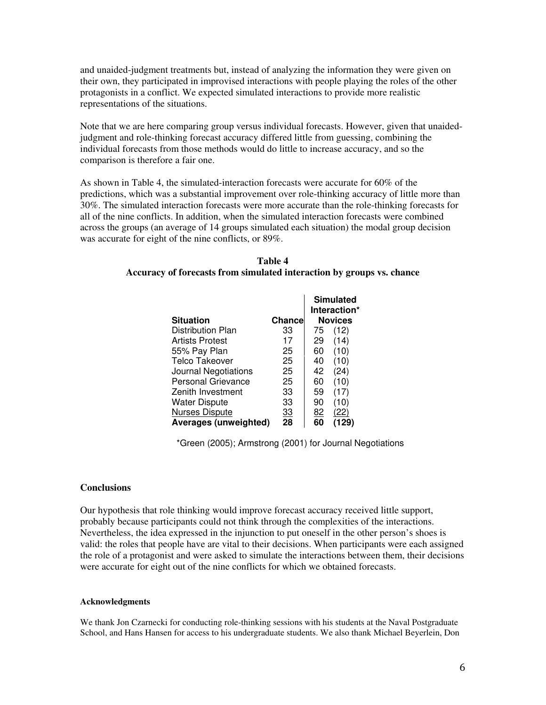and unaided-judgment treatments but, instead of analyzing the information they were given on their own, they participated in improvised interactions with people playing the roles of the other protagonists in a conflict. We expected simulated interactions to provide more realistic representations of the situations.

Note that we are here comparing group versus individual forecasts. However, given that unaidedjudgment and role-thinking forecast accuracy differed little from guessing, combining the individual forecasts from those methods would do little to increase accuracy, and so the comparison is therefore a fair one.

As shown in Table 4, the simulated-interaction forecasts were accurate for 60% of the predictions, which was a substantial improvement over role-thinking accuracy of little more than 30%. The simulated interaction forecasts were more accurate than the role-thinking forecasts for all of the nine conflicts. In addition, when the simulated interaction forecasts were combined across the groups (an average of 14 groups simulated each situation) the modal group decision was accurate for eight of the nine conflicts, or 89%.

| Table 4                                                               |
|-----------------------------------------------------------------------|
| Accuracy of forecasts from simulated interaction by groups vs. chance |

|                           |           |    | <b>Simulated</b><br>Interaction* |
|---------------------------|-----------|----|----------------------------------|
| <b>Situation</b>          | Chancel   |    | <b>Novices</b>                   |
| Distribution Plan         | 33        | 75 | (12)                             |
| <b>Artists Protest</b>    | 17        | 29 | (14)                             |
| 55% Pay Plan              | 25        | 60 | (10)                             |
| Telco Takeover            | 25        | 40 | (10)                             |
| Journal Negotiations      | 25        | 42 | (24)                             |
| <b>Personal Grievance</b> | 25        | 60 | (10)                             |
| Zenith Investment         | 33        | 59 | (17)                             |
| <b>Water Dispute</b>      | 33        | 90 | (10)                             |
| <b>Nurses Dispute</b>     | <u>33</u> | 82 | (22)                             |
| Averages (unweighted)     | 28        | 60 | (129)                            |

\*Green (2005); Armstrong (2001) for Journal Negotiations

#### **Conclusions**

Our hypothesis that role thinking would improve forecast accuracy received little support, probably because participants could not think through the complexities of the interactions. Nevertheless, the idea expressed in the injunction to put oneself in the other person's shoes is valid: the roles that people have are vital to their decisions. When participants were each assigned the role of a protagonist and were asked to simulate the interactions between them, their decisions were accurate for eight out of the nine conflicts for which we obtained forecasts.

#### **Acknowledgments**

We thank Jon Czarnecki for conducting role-thinking sessions with his students at the Naval Postgraduate School, and Hans Hansen for access to his undergraduate students. We also thank Michael Beyerlein, Don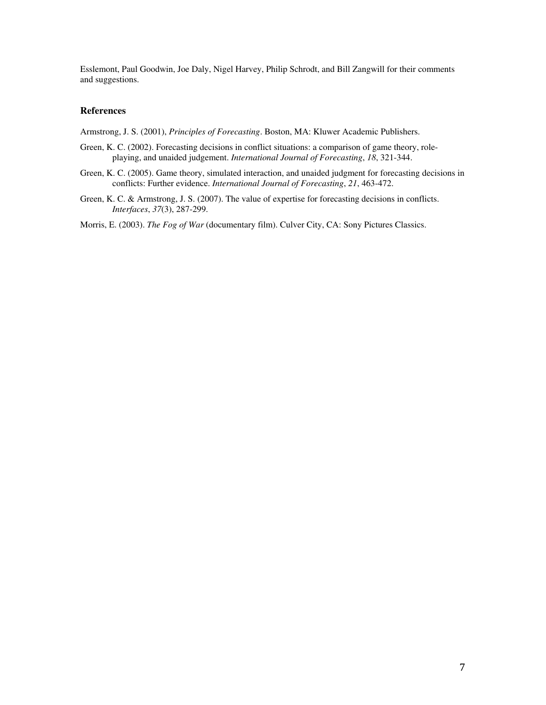Esslemont, Paul Goodwin, Joe Daly, Nigel Harvey, Philip Schrodt, and Bill Zangwill for their comments and suggestions.

#### **References**

Armstrong, J. S. (2001), *Principles of Forecasting*. Boston, MA: Kluwer Academic Publishers.

- Green, K. C. (2002). Forecasting decisions in conflict situations: a comparison of game theory, roleplaying, and unaided judgement. *International Journal of Forecasting*, *18*, 321-344.
- Green, K. C. (2005). Game theory, simulated interaction, and unaided judgment for forecasting decisions in conflicts: Further evidence. *International Journal of Forecasting*, *21*, 463-472.
- Green, K. C. & Armstrong, J. S. (2007). The value of expertise for forecasting decisions in conflicts. *Interfaces*, *37*(3), 287-299.

Morris, E. (2003). *The Fog of War* (documentary film). Culver City, CA: Sony Pictures Classics.